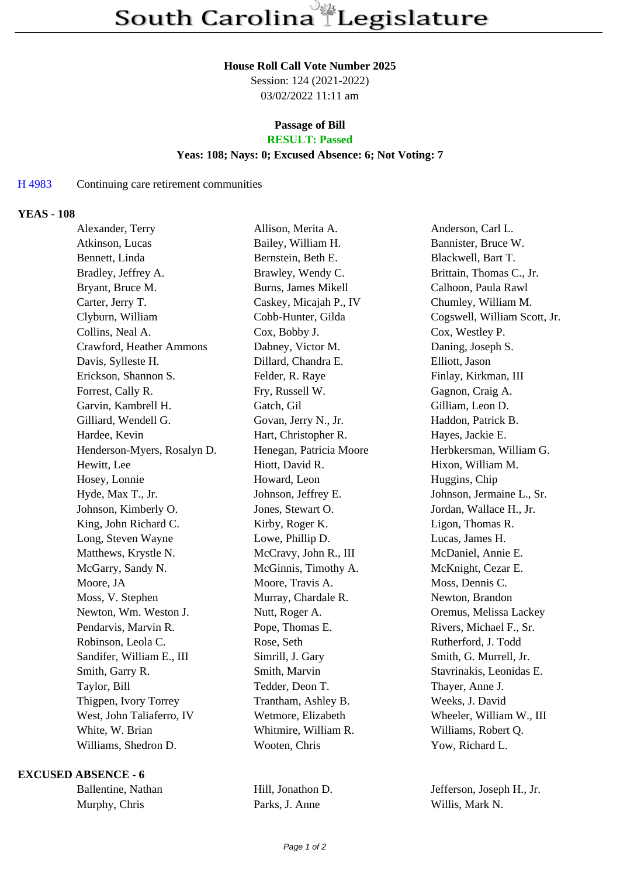#### **House Roll Call Vote Number 2025**

Session: 124 (2021-2022) 03/02/2022 11:11 am

# **Passage of Bill**

## **RESULT: Passed**

### **Yeas: 108; Nays: 0; Excused Absence: 6; Not Voting: 7**

#### H 4983 Continuing care retirement communities

#### **YEAS - 108**

| Alexander, Terry            | Allison, Merita A.         | Anderson, Carl L.            |
|-----------------------------|----------------------------|------------------------------|
| Atkinson, Lucas             | Bailey, William H.         | Bannister, Bruce W.          |
| Bennett, Linda              | Bernstein, Beth E.         | Blackwell, Bart T.           |
| Bradley, Jeffrey A.         | Brawley, Wendy C.          | Brittain, Thomas C., Jr.     |
| Bryant, Bruce M.            | <b>Burns, James Mikell</b> | Calhoon, Paula Rawl          |
| Carter, Jerry T.            | Caskey, Micajah P., IV     | Chumley, William M.          |
| Clyburn, William            | Cobb-Hunter, Gilda         | Cogswell, William Scott, Jr. |
| Collins, Neal A.            | Cox, Bobby J.              | Cox, Westley P.              |
| Crawford, Heather Ammons    | Dabney, Victor M.          | Daning, Joseph S.            |
| Davis, Sylleste H.          | Dillard, Chandra E.        | Elliott, Jason               |
| Erickson, Shannon S.        | Felder, R. Raye            | Finlay, Kirkman, III         |
| Forrest, Cally R.           | Fry, Russell W.            | Gagnon, Craig A.             |
| Garvin, Kambrell H.         | Gatch, Gil                 | Gilliam, Leon D.             |
| Gilliard, Wendell G.        | Govan, Jerry N., Jr.       | Haddon, Patrick B.           |
| Hardee, Kevin               | Hart, Christopher R.       | Hayes, Jackie E.             |
| Henderson-Myers, Rosalyn D. | Henegan, Patricia Moore    | Herbkersman, William G.      |
| Hewitt, Lee                 | Hiott, David R.            | Hixon, William M.            |
| Hosey, Lonnie               | Howard, Leon               | Huggins, Chip                |
| Hyde, Max T., Jr.           | Johnson, Jeffrey E.        | Johnson, Jermaine L., Sr.    |
| Johnson, Kimberly O.        | Jones, Stewart O.          | Jordan, Wallace H., Jr.      |
| King, John Richard C.       | Kirby, Roger K.            | Ligon, Thomas R.             |
| Long, Steven Wayne          | Lowe, Phillip D.           | Lucas, James H.              |
| Matthews, Krystle N.        | McCravy, John R., III      | McDaniel, Annie E.           |
| McGarry, Sandy N.           | McGinnis, Timothy A.       | McKnight, Cezar E.           |
| Moore, JA                   | Moore, Travis A.           | Moss, Dennis C.              |
| Moss, V. Stephen            | Murray, Chardale R.        | Newton, Brandon              |
| Newton, Wm. Weston J.       | Nutt, Roger A.             | Oremus, Melissa Lackey       |
| Pendarvis, Marvin R.        | Pope, Thomas E.            | Rivers, Michael F., Sr.      |
| Robinson, Leola C.          | Rose, Seth                 | Rutherford, J. Todd          |
| Sandifer, William E., III   | Simrill, J. Gary           | Smith, G. Murrell, Jr.       |
| Smith, Garry R.             | Smith, Marvin              | Stavrinakis, Leonidas E.     |
| Taylor, Bill                | Tedder, Deon T.            | Thayer, Anne J.              |
| Thigpen, Ivory Torrey       | Trantham, Ashley B.        | Weeks, J. David              |
| West, John Taliaferro, IV   | Wetmore, Elizabeth         | Wheeler, William W., III     |
| White, W. Brian             | Whitmire, William R.       | Williams, Robert Q.          |
| Williams, Shedron D.        | Wooten, Chris              | Yow, Richard L.              |
|                             |                            |                              |

#### **EXCUSED ABSENCE - 6**

| Ballentine, Nathar |
|--------------------|
| Murphy, Chris      |

Parks, J. Anne Willis, Mark N.

an Hill, Jonathon D. Jefferson, Joseph H., Jr.